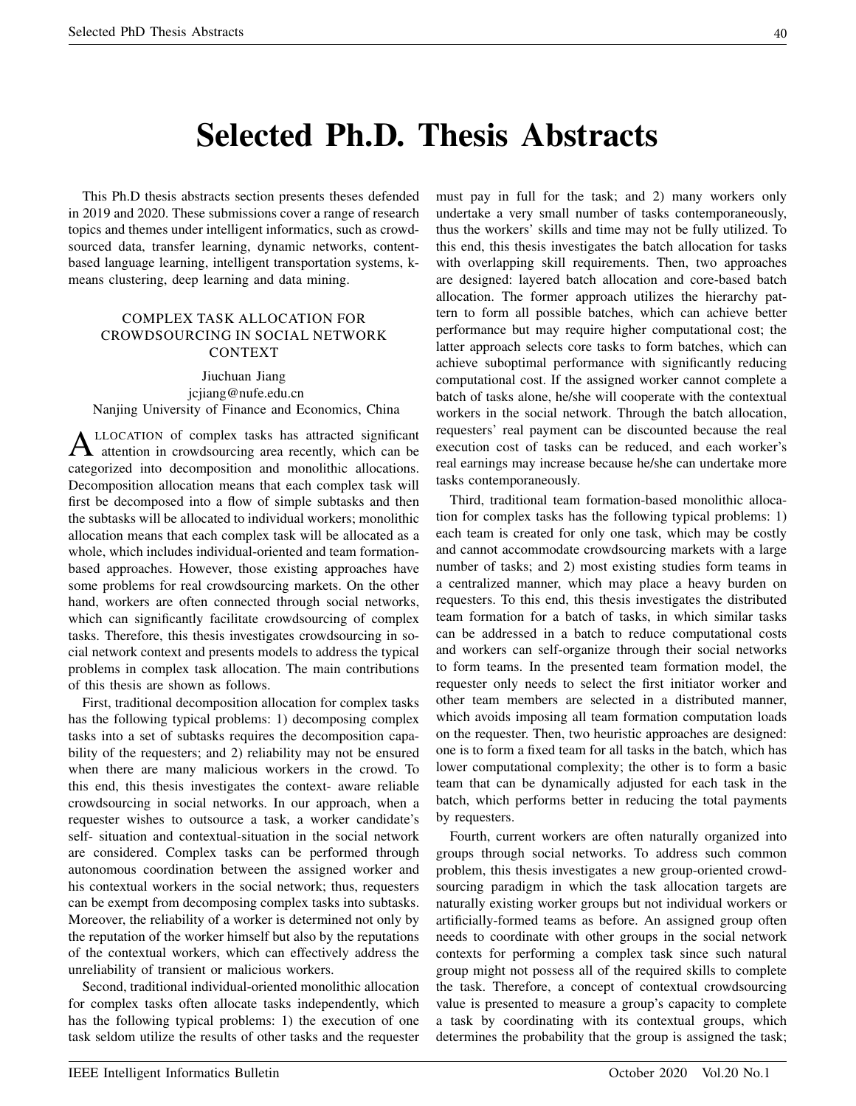# Selected Ph.D. Thesis Abstracts

This Ph.D thesis abstracts section presents theses defended in 2019 and 2020. These submissions cover a range of research topics and themes under intelligent informatics, such as crowdsourced data, transfer learning, dynamic networks, contentbased language learning, intelligent transportation systems, kmeans clustering, deep learning and data mining.

# COMPLEX TASK ALLOCATION FOR CROWDSOURCING IN SOCIAL NETWORK CONTEXT

Jiuchuan Jiang jcjiang@nufe.edu.cn Nanjing University of Finance and Economics, China

A LLOCATION of complex tasks has attracted significant<br>distribution in crowdsourcing area recently, which can be LLOCATION of complex tasks has attracted significant categorized into decomposition and monolithic allocations. Decomposition allocation means that each complex task will first be decomposed into a flow of simple subtasks and then the subtasks will be allocated to individual workers; monolithic allocation means that each complex task will be allocated as a whole, which includes individual-oriented and team formationbased approaches. However, those existing approaches have some problems for real crowdsourcing markets. On the other hand, workers are often connected through social networks, which can significantly facilitate crowdsourcing of complex tasks. Therefore, this thesis investigates crowdsourcing in social network context and presents models to address the typical problems in complex task allocation. The main contributions of this thesis are shown as follows.

First, traditional decomposition allocation for complex tasks has the following typical problems: 1) decomposing complex tasks into a set of subtasks requires the decomposition capability of the requesters; and 2) reliability may not be ensured when there are many malicious workers in the crowd. To this end, this thesis investigates the context- aware reliable crowdsourcing in social networks. In our approach, when a requester wishes to outsource a task, a worker candidate's self- situation and contextual-situation in the social network are considered. Complex tasks can be performed through autonomous coordination between the assigned worker and his contextual workers in the social network; thus, requesters can be exempt from decomposing complex tasks into subtasks. Moreover, the reliability of a worker is determined not only by the reputation of the worker himself but also by the reputations of the contextual workers, which can effectively address the unreliability of transient or malicious workers.

Second, traditional individual-oriented monolithic allocation for complex tasks often allocate tasks independently, which has the following typical problems: 1) the execution of one task seldom utilize the results of other tasks and the requester must pay in full for the task; and 2) many workers only undertake a very small number of tasks contemporaneously, thus the workers' skills and time may not be fully utilized. To this end, this thesis investigates the batch allocation for tasks with overlapping skill requirements. Then, two approaches are designed: layered batch allocation and core-based batch allocation. The former approach utilizes the hierarchy pattern to form all possible batches, which can achieve better performance but may require higher computational cost; the latter approach selects core tasks to form batches, which can achieve suboptimal performance with significantly reducing computational cost. If the assigned worker cannot complete a batch of tasks alone, he/she will cooperate with the contextual workers in the social network. Through the batch allocation, requesters' real payment can be discounted because the real execution cost of tasks can be reduced, and each worker's real earnings may increase because he/she can undertake more tasks contemporaneously.

Third, traditional team formation-based monolithic allocation for complex tasks has the following typical problems: 1) each team is created for only one task, which may be costly and cannot accommodate crowdsourcing markets with a large number of tasks; and 2) most existing studies form teams in a centralized manner, which may place a heavy burden on requesters. To this end, this thesis investigates the distributed team formation for a batch of tasks, in which similar tasks can be addressed in a batch to reduce computational costs and workers can self-organize through their social networks to form teams. In the presented team formation model, the requester only needs to select the first initiator worker and other team members are selected in a distributed manner, which avoids imposing all team formation computation loads on the requester. Then, two heuristic approaches are designed: one is to form a fixed team for all tasks in the batch, which has lower computational complexity; the other is to form a basic team that can be dynamically adjusted for each task in the batch, which performs better in reducing the total payments by requesters.

Fourth, current workers are often naturally organized into groups through social networks. To address such common problem, this thesis investigates a new group-oriented crowdsourcing paradigm in which the task allocation targets are naturally existing worker groups but not individual workers or artificially-formed teams as before. An assigned group often needs to coordinate with other groups in the social network contexts for performing a complex task since such natural group might not possess all of the required skills to complete the task. Therefore, a concept of contextual crowdsourcing value is presented to measure a group's capacity to complete a task by coordinating with its contextual groups, which determines the probability that the group is assigned the task;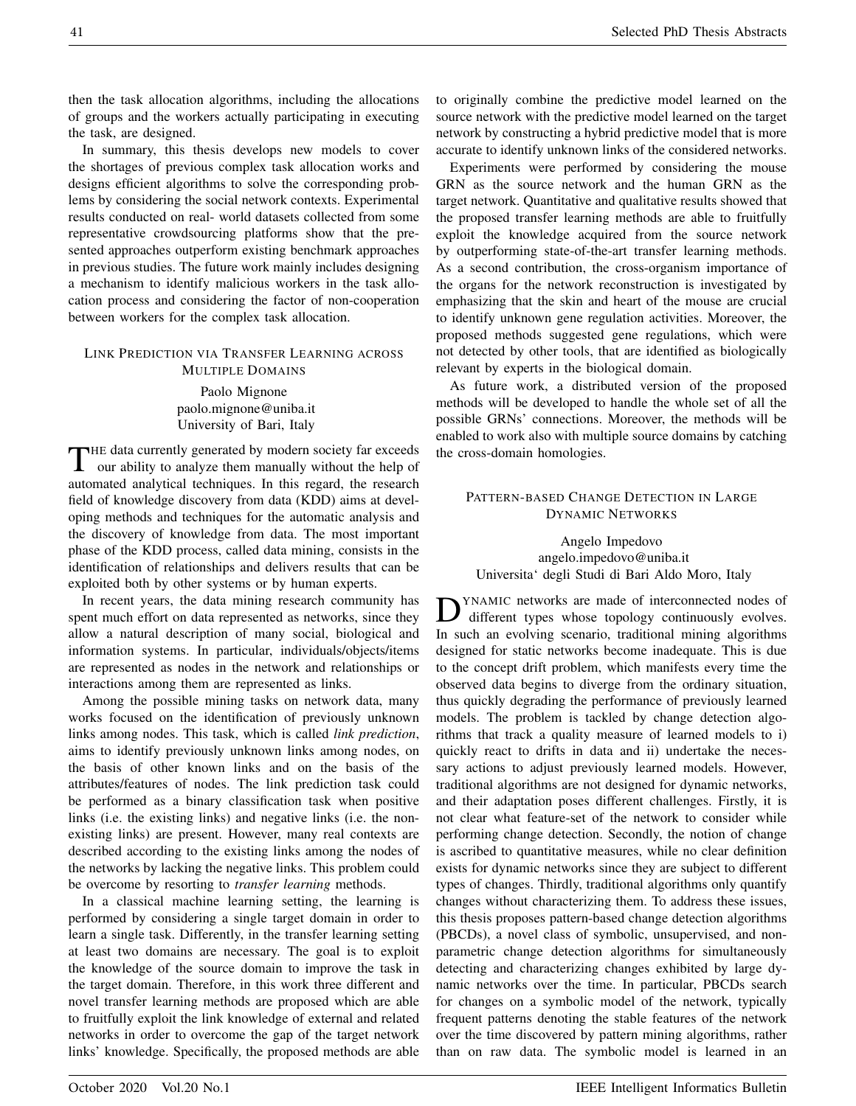then the task allocation algorithms, including the allocations of groups and the workers actually participating in executing the task, are designed.

In summary, this thesis develops new models to cover the shortages of previous complex task allocation works and designs efficient algorithms to solve the corresponding problems by considering the social network contexts. Experimental results conducted on real- world datasets collected from some representative crowdsourcing platforms show that the presented approaches outperform existing benchmark approaches in previous studies. The future work mainly includes designing a mechanism to identify malicious workers in the task allocation process and considering the factor of non-cooperation between workers for the complex task allocation.

## LINK PREDICTION VIA TRANSFER LEARNING ACROSS MULTIPLE DOMAINS

Paolo Mignone paolo.mignone@uniba.it University of Bari, Italy

THE data currently generated by modern society far exceeds<br>our ability to analyze them manually without the help of our ability to analyze them manually without the help of automated analytical techniques. In this regard, the research field of knowledge discovery from data (KDD) aims at developing methods and techniques for the automatic analysis and the discovery of knowledge from data. The most important phase of the KDD process, called data mining, consists in the identification of relationships and delivers results that can be exploited both by other systems or by human experts.

In recent years, the data mining research community has spent much effort on data represented as networks, since they allow a natural description of many social, biological and information systems. In particular, individuals/objects/items are represented as nodes in the network and relationships or interactions among them are represented as links.

Among the possible mining tasks on network data, many works focused on the identification of previously unknown links among nodes. This task, which is called *link prediction*, aims to identify previously unknown links among nodes, on the basis of other known links and on the basis of the attributes/features of nodes. The link prediction task could be performed as a binary classification task when positive links (i.e. the existing links) and negative links (i.e. the nonexisting links) are present. However, many real contexts are described according to the existing links among the nodes of the networks by lacking the negative links. This problem could be overcome by resorting to *transfer learning* methods.

In a classical machine learning setting, the learning is performed by considering a single target domain in order to learn a single task. Differently, in the transfer learning setting at least two domains are necessary. The goal is to exploit the knowledge of the source domain to improve the task in the target domain. Therefore, in this work three different and novel transfer learning methods are proposed which are able to fruitfully exploit the link knowledge of external and related networks in order to overcome the gap of the target network links' knowledge. Specifically, the proposed methods are able to originally combine the predictive model learned on the source network with the predictive model learned on the target network by constructing a hybrid predictive model that is more accurate to identify unknown links of the considered networks.

Experiments were performed by considering the mouse GRN as the source network and the human GRN as the target network. Quantitative and qualitative results showed that the proposed transfer learning methods are able to fruitfully exploit the knowledge acquired from the source network by outperforming state-of-the-art transfer learning methods. As a second contribution, the cross-organism importance of the organs for the network reconstruction is investigated by emphasizing that the skin and heart of the mouse are crucial to identify unknown gene regulation activities. Moreover, the proposed methods suggested gene regulations, which were not detected by other tools, that are identified as biologically relevant by experts in the biological domain.

As future work, a distributed version of the proposed methods will be developed to handle the whole set of all the possible GRNs' connections. Moreover, the methods will be enabled to work also with multiple source domains by catching the cross-domain homologies.

## PATTERN-BASED CHANGE DETECTION IN LARGE DYNAMIC NETWORKS

Angelo Impedovo angelo.impedovo@uniba.it Universita' degli Studi di Bari Aldo Moro, Italy

D YNAMIC networks are made of interconnected nodes of different types whose topology continuously evolves. In such an evolving scenario, traditional mining algorithms designed for static networks become inadequate. This is due to the concept drift problem, which manifests every time the observed data begins to diverge from the ordinary situation, thus quickly degrading the performance of previously learned models. The problem is tackled by change detection algorithms that track a quality measure of learned models to i) quickly react to drifts in data and ii) undertake the necessary actions to adjust previously learned models. However, traditional algorithms are not designed for dynamic networks, and their adaptation poses different challenges. Firstly, it is not clear what feature-set of the network to consider while performing change detection. Secondly, the notion of change is ascribed to quantitative measures, while no clear definition exists for dynamic networks since they are subject to different types of changes. Thirdly, traditional algorithms only quantify changes without characterizing them. To address these issues, this thesis proposes pattern-based change detection algorithms (PBCDs), a novel class of symbolic, unsupervised, and nonparametric change detection algorithms for simultaneously detecting and characterizing changes exhibited by large dynamic networks over the time. In particular, PBCDs search for changes on a symbolic model of the network, typically frequent patterns denoting the stable features of the network over the time discovered by pattern mining algorithms, rather than on raw data. The symbolic model is learned in an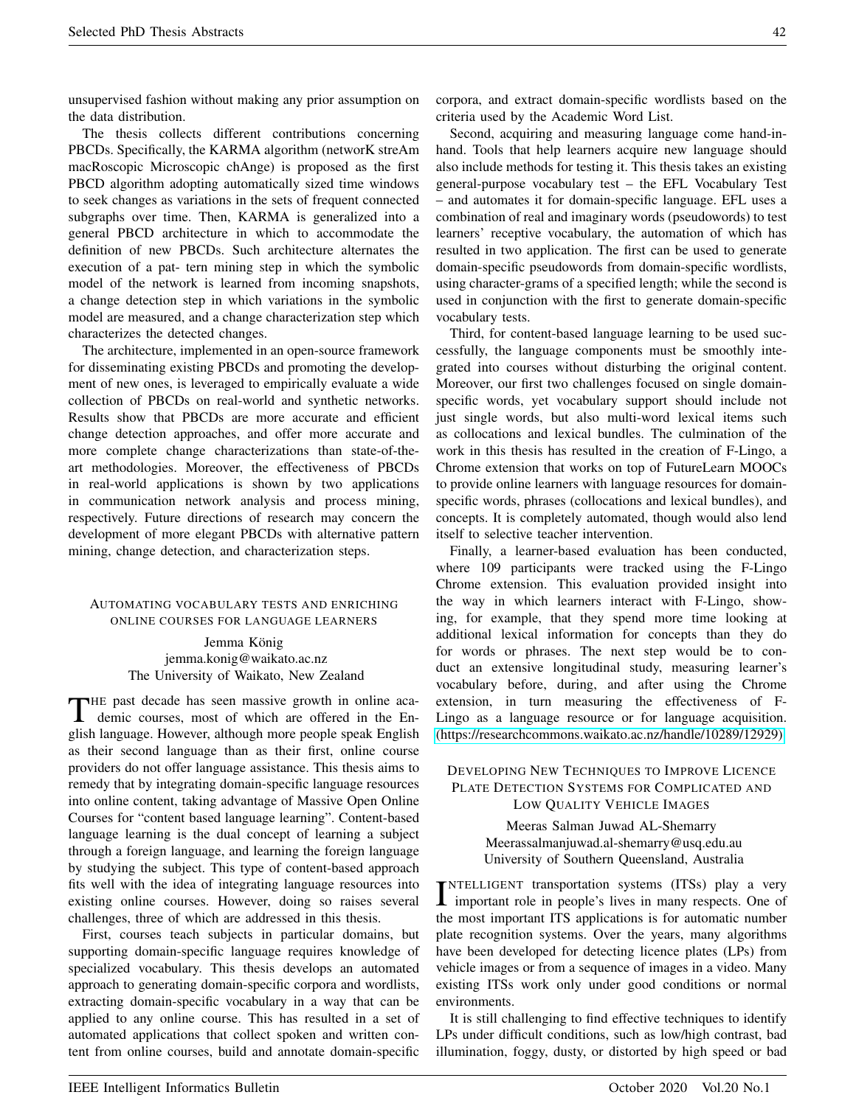unsupervised fashion without making any prior assumption on the data distribution.

The thesis collects different contributions concerning PBCDs. Specifically, the KARMA algorithm (networK streAm macRoscopic Microscopic chAnge) is proposed as the first PBCD algorithm adopting automatically sized time windows to seek changes as variations in the sets of frequent connected subgraphs over time. Then, KARMA is generalized into a general PBCD architecture in which to accommodate the definition of new PBCDs. Such architecture alternates the execution of a pat- tern mining step in which the symbolic model of the network is learned from incoming snapshots, a change detection step in which variations in the symbolic model are measured, and a change characterization step which characterizes the detected changes.

The architecture, implemented in an open-source framework for disseminating existing PBCDs and promoting the development of new ones, is leveraged to empirically evaluate a wide collection of PBCDs on real-world and synthetic networks. Results show that PBCDs are more accurate and efficient change detection approaches, and offer more accurate and more complete change characterizations than state-of-theart methodologies. Moreover, the effectiveness of PBCDs in real-world applications is shown by two applications in communication network analysis and process mining, respectively. Future directions of research may concern the development of more elegant PBCDs with alternative pattern mining, change detection, and characterization steps.

#### AUTOMATING VOCABULARY TESTS AND ENRICHING ONLINE COURSES FOR LANGUAGE LEARNERS

Jemma König jemma.konig@waikato.ac.nz The University of Waikato, New Zealand

THE past decade has seen massive growth in online aca-<br>demic courses, most of which are offered in the Endemic courses, most of which are offered in the English language. However, although more people speak English as their second language than as their first, online course providers do not offer language assistance. This thesis aims to remedy that by integrating domain-specific language resources into online content, taking advantage of Massive Open Online Courses for "content based language learning". Content-based language learning is the dual concept of learning a subject through a foreign language, and learning the foreign language by studying the subject. This type of content-based approach fits well with the idea of integrating language resources into existing online courses. However, doing so raises several challenges, three of which are addressed in this thesis.

First, courses teach subjects in particular domains, but supporting domain-specific language requires knowledge of specialized vocabulary. This thesis develops an automated approach to generating domain-specific corpora and wordlists, extracting domain-specific vocabulary in a way that can be applied to any online course. This has resulted in a set of automated applications that collect spoken and written content from online courses, build and annotate domain-specific corpora, and extract domain-specific wordlists based on the criteria used by the Academic Word List.

Second, acquiring and measuring language come hand-inhand. Tools that help learners acquire new language should also include methods for testing it. This thesis takes an existing general-purpose vocabulary test – the EFL Vocabulary Test – and automates it for domain-specific language. EFL uses a combination of real and imaginary words (pseudowords) to test learners' receptive vocabulary, the automation of which has resulted in two application. The first can be used to generate domain-specific pseudowords from domain-specific wordlists, using character-grams of a specified length; while the second is used in conjunction with the first to generate domain-specific vocabulary tests.

Third, for content-based language learning to be used successfully, the language components must be smoothly integrated into courses without disturbing the original content. Moreover, our first two challenges focused on single domainspecific words, yet vocabulary support should include not just single words, but also multi-word lexical items such as collocations and lexical bundles. The culmination of the work in this thesis has resulted in the creation of F-Lingo, a Chrome extension that works on top of FutureLearn MOOCs to provide online learners with language resources for domainspecific words, phrases (collocations and lexical bundles), and concepts. It is completely automated, though would also lend itself to selective teacher intervention.

Finally, a learner-based evaluation has been conducted, where 109 participants were tracked using the F-Lingo Chrome extension. This evaluation provided insight into the way in which learners interact with F-Lingo, showing, for example, that they spend more time looking at additional lexical information for concepts than they do for words or phrases. The next step would be to conduct an extensive longitudinal study, measuring learner's vocabulary before, during, and after using the Chrome extension, in turn measuring the effectiveness of F-Lingo as a language resource or for language acquisition. [\(https://researchcommons.waikato.ac.nz/handle/10289/12929\)](https://researchcommons.waikato.ac.nz/handle/10289/12929)

# DEVELOPING NEW TECHNIQUES TO IMPROVE LICENCE PLATE DETECTION SYSTEMS FOR COMPLICATED AND LOW QUALITY VEHICLE IMAGES

Meeras Salman Juwad AL-Shemarry Meerassalmanjuwad.al-shemarry@usq.edu.au University of Southern Queensland, Australia

INTELLIGENT transportation systems (ITSs) play a very<br>important role in people's lives in many respects. One of NTELLIGENT transportation systems (ITSs) play a very the most important ITS applications is for automatic number plate recognition systems. Over the years, many algorithms have been developed for detecting licence plates (LPs) from vehicle images or from a sequence of images in a video. Many existing ITSs work only under good conditions or normal environments.

It is still challenging to find effective techniques to identify LPs under difficult conditions, such as low/high contrast, bad illumination, foggy, dusty, or distorted by high speed or bad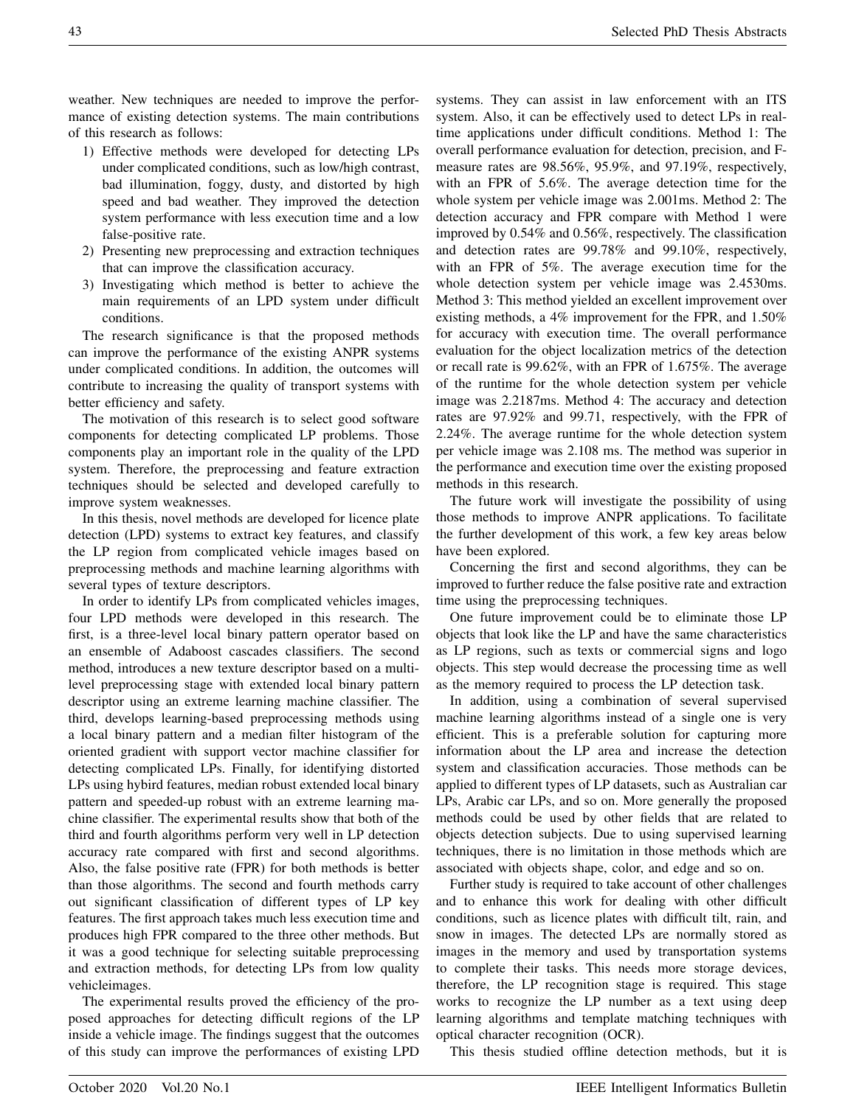weather. New techniques are needed to improve the performance of existing detection systems. The main contributions of this research as follows:

- 1) Effective methods were developed for detecting LPs under complicated conditions, such as low/high contrast, bad illumination, foggy, dusty, and distorted by high speed and bad weather. They improved the detection system performance with less execution time and a low false-positive rate.
- 2) Presenting new preprocessing and extraction techniques that can improve the classification accuracy.
- 3) Investigating which method is better to achieve the main requirements of an LPD system under difficult conditions.

The research significance is that the proposed methods can improve the performance of the existing ANPR systems under complicated conditions. In addition, the outcomes will contribute to increasing the quality of transport systems with better efficiency and safety.

The motivation of this research is to select good software components for detecting complicated LP problems. Those components play an important role in the quality of the LPD system. Therefore, the preprocessing and feature extraction techniques should be selected and developed carefully to improve system weaknesses.

In this thesis, novel methods are developed for licence plate detection (LPD) systems to extract key features, and classify the LP region from complicated vehicle images based on preprocessing methods and machine learning algorithms with several types of texture descriptors.

In order to identify LPs from complicated vehicles images, four LPD methods were developed in this research. The first, is a three-level local binary pattern operator based on an ensemble of Adaboost cascades classifiers. The second method, introduces a new texture descriptor based on a multilevel preprocessing stage with extended local binary pattern descriptor using an extreme learning machine classifier. The third, develops learning-based preprocessing methods using a local binary pattern and a median filter histogram of the oriented gradient with support vector machine classifier for detecting complicated LPs. Finally, for identifying distorted LPs using hybird features, median robust extended local binary pattern and speeded-up robust with an extreme learning machine classifier. The experimental results show that both of the third and fourth algorithms perform very well in LP detection accuracy rate compared with first and second algorithms. Also, the false positive rate (FPR) for both methods is better than those algorithms. The second and fourth methods carry out significant classification of different types of LP key features. The first approach takes much less execution time and produces high FPR compared to the three other methods. But it was a good technique for selecting suitable preprocessing and extraction methods, for detecting LPs from low quality vehicleimages.

The experimental results proved the efficiency of the proposed approaches for detecting difficult regions of the LP inside a vehicle image. The findings suggest that the outcomes of this study can improve the performances of existing LPD systems. They can assist in law enforcement with an ITS system. Also, it can be effectively used to detect LPs in realtime applications under difficult conditions. Method 1: The overall performance evaluation for detection, precision, and Fmeasure rates are 98.56%, 95.9%, and 97.19%, respectively, with an FPR of 5.6%. The average detection time for the whole system per vehicle image was 2.001ms. Method 2: The detection accuracy and FPR compare with Method 1 were improved by 0.54% and 0.56%, respectively. The classification and detection rates are 99.78% and 99.10%, respectively, with an FPR of 5%. The average execution time for the whole detection system per vehicle image was 2.4530ms. Method 3: This method yielded an excellent improvement over existing methods, a 4% improvement for the FPR, and 1.50% for accuracy with execution time. The overall performance evaluation for the object localization metrics of the detection or recall rate is 99.62%, with an FPR of 1.675%. The average of the runtime for the whole detection system per vehicle image was 2.2187ms. Method 4: The accuracy and detection rates are 97.92% and 99.71, respectively, with the FPR of 2.24%. The average runtime for the whole detection system per vehicle image was 2.108 ms. The method was superior in the performance and execution time over the existing proposed methods in this research.

The future work will investigate the possibility of using those methods to improve ANPR applications. To facilitate the further development of this work, a few key areas below have been explored.

Concerning the first and second algorithms, they can be improved to further reduce the false positive rate and extraction time using the preprocessing techniques.

One future improvement could be to eliminate those LP objects that look like the LP and have the same characteristics as LP regions, such as texts or commercial signs and logo objects. This step would decrease the processing time as well as the memory required to process the LP detection task.

In addition, using a combination of several supervised machine learning algorithms instead of a single one is very efficient. This is a preferable solution for capturing more information about the LP area and increase the detection system and classification accuracies. Those methods can be applied to different types of LP datasets, such as Australian car LPs, Arabic car LPs, and so on. More generally the proposed methods could be used by other fields that are related to objects detection subjects. Due to using supervised learning techniques, there is no limitation in those methods which are associated with objects shape, color, and edge and so on.

Further study is required to take account of other challenges and to enhance this work for dealing with other difficult conditions, such as licence plates with difficult tilt, rain, and snow in images. The detected LPs are normally stored as images in the memory and used by transportation systems to complete their tasks. This needs more storage devices, therefore, the LP recognition stage is required. This stage works to recognize the LP number as a text using deep learning algorithms and template matching techniques with optical character recognition (OCR).

This thesis studied offline detection methods, but it is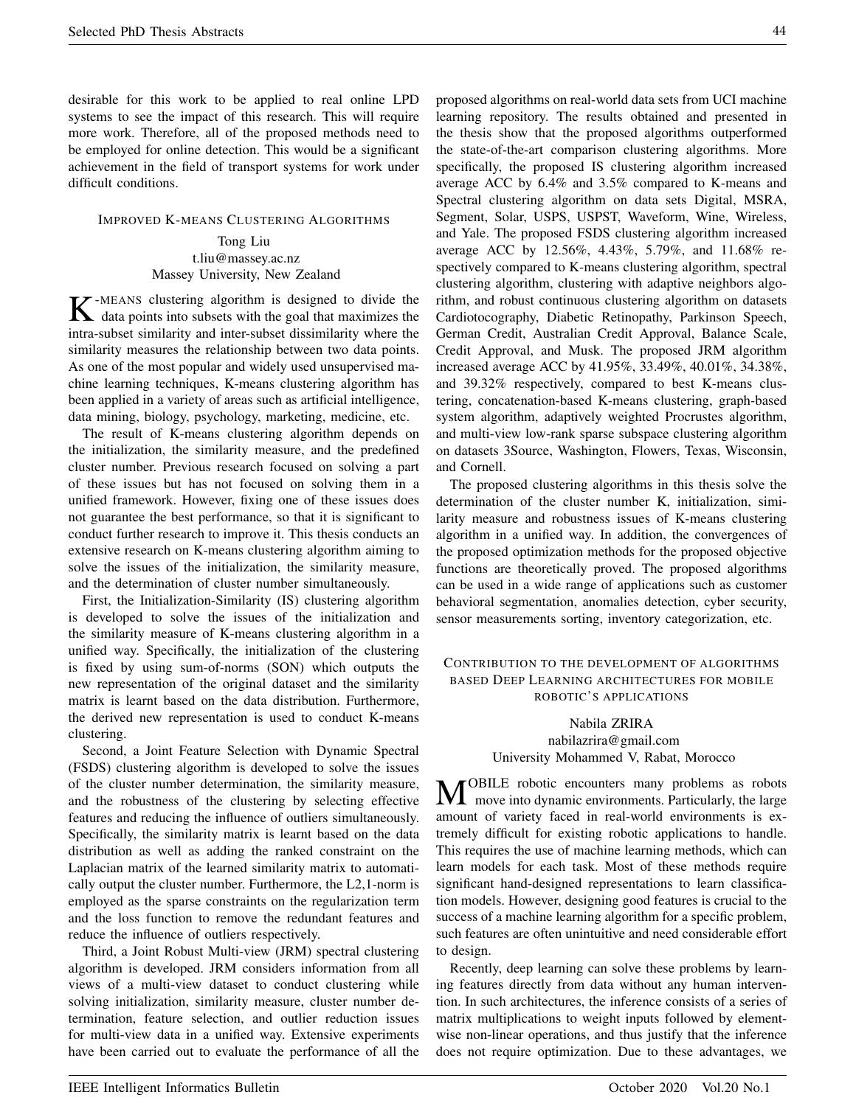desirable for this work to be applied to real online LPD systems to see the impact of this research. This will require more work. Therefore, all of the proposed methods need to be employed for online detection. This would be a significant achievement in the field of transport systems for work under difficult conditions.

#### IMPROVED K-MEANS CLUSTERING ALGORITHMS

# Tong Liu t.liu@massey.ac.nz Massey University, New Zealand

K-MEANS clustering algorithm is designed to divide the data points into subsets with the goal that maximizes the data points into subsets with the goal that maximizes the intra-subset similarity and inter-subset dissimilarity where the similarity measures the relationship between two data points. As one of the most popular and widely used unsupervised machine learning techniques, K-means clustering algorithm has been applied in a variety of areas such as artificial intelligence, data mining, biology, psychology, marketing, medicine, etc.

The result of K-means clustering algorithm depends on the initialization, the similarity measure, and the predefined cluster number. Previous research focused on solving a part of these issues but has not focused on solving them in a unified framework. However, fixing one of these issues does not guarantee the best performance, so that it is significant to conduct further research to improve it. This thesis conducts an extensive research on K-means clustering algorithm aiming to solve the issues of the initialization, the similarity measure, and the determination of cluster number simultaneously.

First, the Initialization-Similarity (IS) clustering algorithm is developed to solve the issues of the initialization and the similarity measure of K-means clustering algorithm in a unified way. Specifically, the initialization of the clustering is fixed by using sum-of-norms (SON) which outputs the new representation of the original dataset and the similarity matrix is learnt based on the data distribution. Furthermore, the derived new representation is used to conduct K-means clustering.

Second, a Joint Feature Selection with Dynamic Spectral (FSDS) clustering algorithm is developed to solve the issues of the cluster number determination, the similarity measure, and the robustness of the clustering by selecting effective features and reducing the influence of outliers simultaneously. Specifically, the similarity matrix is learnt based on the data distribution as well as adding the ranked constraint on the Laplacian matrix of the learned similarity matrix to automatically output the cluster number. Furthermore, the L2,1-norm is employed as the sparse constraints on the regularization term and the loss function to remove the redundant features and reduce the influence of outliers respectively.

Third, a Joint Robust Multi-view (JRM) spectral clustering algorithm is developed. JRM considers information from all views of a multi-view dataset to conduct clustering while solving initialization, similarity measure, cluster number determination, feature selection, and outlier reduction issues for multi-view data in a unified way. Extensive experiments have been carried out to evaluate the performance of all the proposed algorithms on real-world data sets from UCI machine learning repository. The results obtained and presented in the thesis show that the proposed algorithms outperformed the state-of-the-art comparison clustering algorithms. More specifically, the proposed IS clustering algorithm increased average ACC by 6.4% and 3.5% compared to K-means and Spectral clustering algorithm on data sets Digital, MSRA, Segment, Solar, USPS, USPST, Waveform, Wine, Wireless, and Yale. The proposed FSDS clustering algorithm increased average ACC by 12.56%, 4.43%, 5.79%, and 11.68% respectively compared to K-means clustering algorithm, spectral clustering algorithm, clustering with adaptive neighbors algorithm, and robust continuous clustering algorithm on datasets Cardiotocography, Diabetic Retinopathy, Parkinson Speech, German Credit, Australian Credit Approval, Balance Scale, Credit Approval, and Musk. The proposed JRM algorithm increased average ACC by 41.95%, 33.49%, 40.01%, 34.38%, and 39.32% respectively, compared to best K-means clustering, concatenation-based K-means clustering, graph-based system algorithm, adaptively weighted Procrustes algorithm, and multi-view low-rank sparse subspace clustering algorithm on datasets 3Source, Washington, Flowers, Texas, Wisconsin, and Cornell.

The proposed clustering algorithms in this thesis solve the determination of the cluster number K, initialization, similarity measure and robustness issues of K-means clustering algorithm in a unified way. In addition, the convergences of the proposed optimization methods for the proposed objective functions are theoretically proved. The proposed algorithms can be used in a wide range of applications such as customer behavioral segmentation, anomalies detection, cyber security, sensor measurements sorting, inventory categorization, etc.

## CONTRIBUTION TO THE DEVELOPMENT OF ALGORITHMS BASED DEEP LEARNING ARCHITECTURES FOR MOBILE ROBOTIC'S APPLICATIONS

Nabila ZRIRA nabilazrira@gmail.com University Mohammed V, Rabat, Morocco

**M** OBILE robotic encounters many problems as robots move into dynamic environments. Particularly, the large OBILE robotic encounters many problems as robots amount of variety faced in real-world environments is extremely difficult for existing robotic applications to handle. This requires the use of machine learning methods, which can learn models for each task. Most of these methods require significant hand-designed representations to learn classification models. However, designing good features is crucial to the success of a machine learning algorithm for a specific problem, such features are often unintuitive and need considerable effort to design.

Recently, deep learning can solve these problems by learning features directly from data without any human intervention. In such architectures, the inference consists of a series of matrix multiplications to weight inputs followed by elementwise non-linear operations, and thus justify that the inference does not require optimization. Due to these advantages, we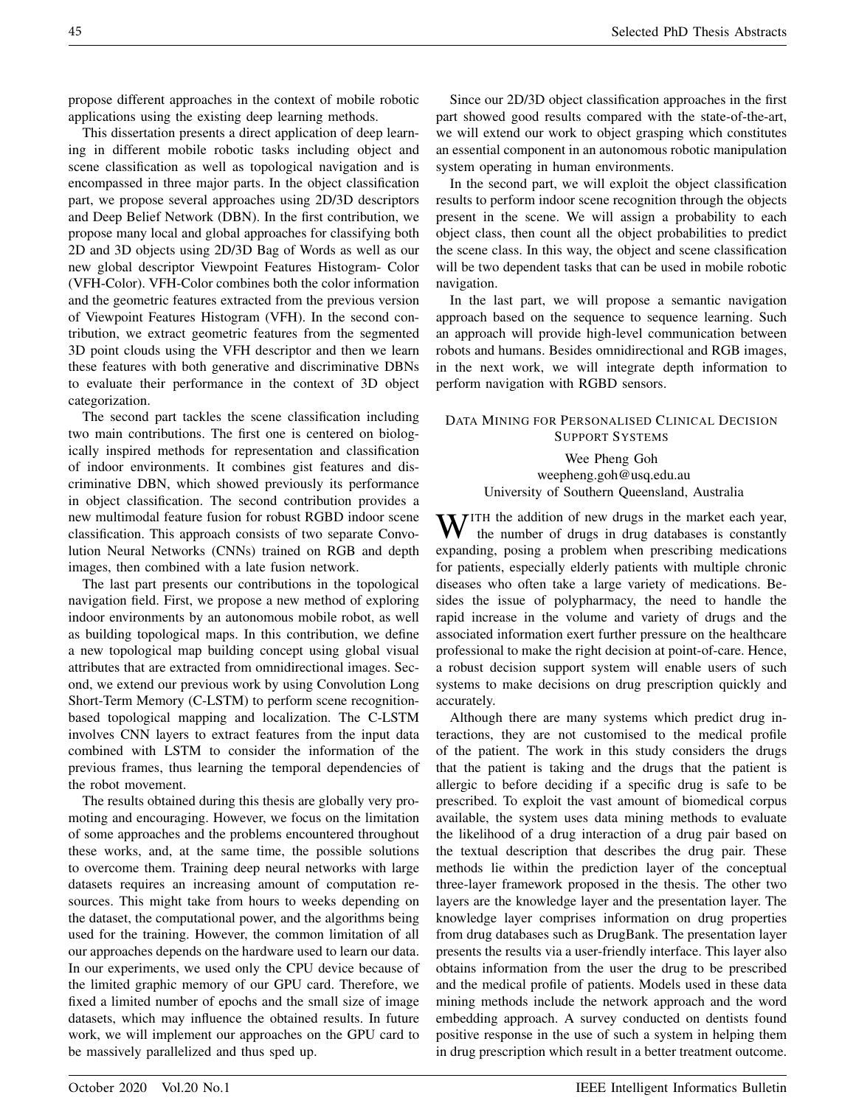propose different approaches in the context of mobile robotic applications using the existing deep learning methods.

This dissertation presents a direct application of deep learning in different mobile robotic tasks including object and scene classification as well as topological navigation and is encompassed in three major parts. In the object classification part, we propose several approaches using 2D/3D descriptors and Deep Belief Network (DBN). In the first contribution, we propose many local and global approaches for classifying both 2D and 3D objects using 2D/3D Bag of Words as well as our new global descriptor Viewpoint Features Histogram- Color (VFH-Color). VFH-Color combines both the color information and the geometric features extracted from the previous version of Viewpoint Features Histogram (VFH). In the second contribution, we extract geometric features from the segmented 3D point clouds using the VFH descriptor and then we learn these features with both generative and discriminative DBNs to evaluate their performance in the context of 3D object categorization.

The second part tackles the scene classification including two main contributions. The first one is centered on biologically inspired methods for representation and classification of indoor environments. It combines gist features and discriminative DBN, which showed previously its performance in object classification. The second contribution provides a new multimodal feature fusion for robust RGBD indoor scene classification. This approach consists of two separate Convolution Neural Networks (CNNs) trained on RGB and depth images, then combined with a late fusion network.

The last part presents our contributions in the topological navigation field. First, we propose a new method of exploring indoor environments by an autonomous mobile robot, as well as building topological maps. In this contribution, we define a new topological map building concept using global visual attributes that are extracted from omnidirectional images. Second, we extend our previous work by using Convolution Long Short-Term Memory (C-LSTM) to perform scene recognitionbased topological mapping and localization. The C-LSTM involves CNN layers to extract features from the input data combined with LSTM to consider the information of the previous frames, thus learning the temporal dependencies of the robot movement.

The results obtained during this thesis are globally very promoting and encouraging. However, we focus on the limitation of some approaches and the problems encountered throughout these works, and, at the same time, the possible solutions to overcome them. Training deep neural networks with large datasets requires an increasing amount of computation resources. This might take from hours to weeks depending on the dataset, the computational power, and the algorithms being used for the training. However, the common limitation of all our approaches depends on the hardware used to learn our data. In our experiments, we used only the CPU device because of the limited graphic memory of our GPU card. Therefore, we fixed a limited number of epochs and the small size of image datasets, which may influence the obtained results. In future work, we will implement our approaches on the GPU card to be massively parallelized and thus sped up.

Since our 2D/3D object classification approaches in the first part showed good results compared with the state-of-the-art, we will extend our work to object grasping which constitutes an essential component in an autonomous robotic manipulation system operating in human environments.

In the second part, we will exploit the object classification results to perform indoor scene recognition through the objects present in the scene. We will assign a probability to each object class, then count all the object probabilities to predict the scene class. In this way, the object and scene classification will be two dependent tasks that can be used in mobile robotic navigation.

In the last part, we will propose a semantic navigation approach based on the sequence to sequence learning. Such an approach will provide high-level communication between robots and humans. Besides omnidirectional and RGB images, in the next work, we will integrate depth information to perform navigation with RGBD sensors.

## DATA MINING FOR PERSONALISED CLINICAL DECISION SUPPORT SYSTEMS

# Wee Pheng Goh weepheng.goh@usq.edu.au University of Southern Queensland, Australia

TITH the addition of new drugs in the market each year, the number of drugs in drug databases is constantly expanding, posing a problem when prescribing medications for patients, especially elderly patients with multiple chronic diseases who often take a large variety of medications. Besides the issue of polypharmacy, the need to handle the rapid increase in the volume and variety of drugs and the associated information exert further pressure on the healthcare professional to make the right decision at point-of-care. Hence, a robust decision support system will enable users of such systems to make decisions on drug prescription quickly and accurately.

Although there are many systems which predict drug interactions, they are not customised to the medical profile of the patient. The work in this study considers the drugs that the patient is taking and the drugs that the patient is allergic to before deciding if a specific drug is safe to be prescribed. To exploit the vast amount of biomedical corpus available, the system uses data mining methods to evaluate the likelihood of a drug interaction of a drug pair based on the textual description that describes the drug pair. These methods lie within the prediction layer of the conceptual three-layer framework proposed in the thesis. The other two layers are the knowledge layer and the presentation layer. The knowledge layer comprises information on drug properties from drug databases such as DrugBank. The presentation layer presents the results via a user-friendly interface. This layer also obtains information from the user the drug to be prescribed and the medical profile of patients. Models used in these data mining methods include the network approach and the word embedding approach. A survey conducted on dentists found positive response in the use of such a system in helping them in drug prescription which result in a better treatment outcome.